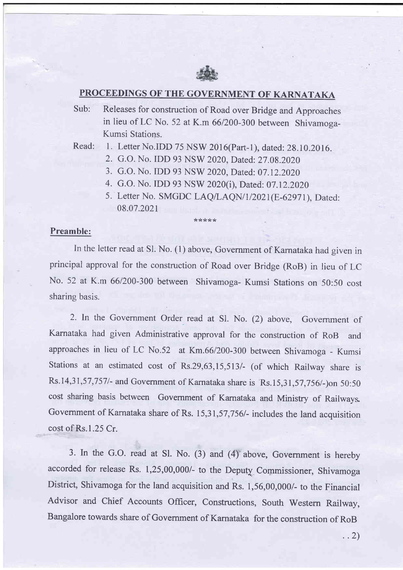

## PROCEEDINGS OF THE GOVERNMENT OF KARNATAKA

Sub: Releases for construction of Road over Bridge and Approaches in lieu of LC No. 52 at K.m 66/200-300 between Shivamoga-Kumsi Stations.

Read: 1. Letter No.IDD 75 NSW 2016(Part-1), dated: 28.10.2016.

- 2. G.O. No. IDD 93 NSW 2020, Dated: 27.08.2020
- 3. G.O. No. IDD 93 NSW 2020, Dated: 07.12.2020
- 4. G.O. No. IDD 93 NSW 2020(i), Dated: 07.12.2020

\*:ls ?k r( ?k

5. Letter No. SMGDC LAQ/LAQN/1/2021(E-62971), Dated: 08.07.202t

## Preamble:

In the letter read at Sl. No. (1) above, Government of Karnataka had given in principal approval for the construction of Road over Bridge (RoB) in lieu of LC No. 52 at K.m 66/200-300 between Shivamoga- Kumsi Stations on 50:50 cost sharing basis.

2. In the Government Order read at Sl. No. (2) above, Govemment of Kamataka had given Administrative approval for the construction of RoB and approaches in lieu of LC No.52 at Km.66/200-300 between Shivamoga - Kumsi Stations at an estimated cost of Rs.29,63,15,513/- (of which Railway share is Rs.14,31,57,7571- and Government of Karnataka share is Rs.15,31 ,57,756/-)on 50:50 cost sharing basis between Government of Kamataka and Ministry of Railways Government of Karnataka share of Rs. 15,31,57,756/- includes the land acquisition cost of Rs.l.25 Cr.

3. In the G.O. read at S1. No. (3) and (4) above, Government is hereby accorded for release Rs. 1,25,00,000/- to the Deputy Commissioner, Shivamoga District, Shivamoga for the land acquisition and Rs. 1,56,00,000/- to the Financial Advisor and Chief Accounts Officer, Constructions, South Western Railway, Bangalore towards share of Govemment of Karnataka for the construction of RoB

. .2)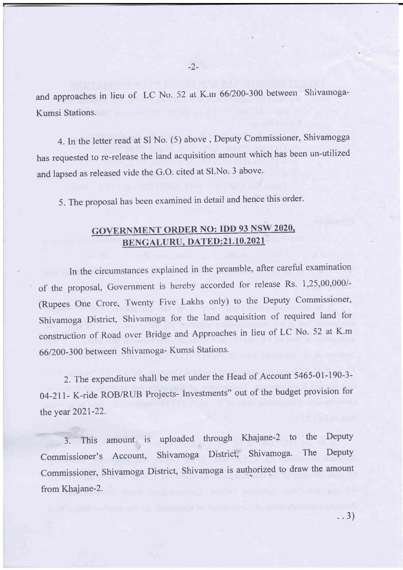and approaches in lieu of LC No. 52 at K.m 66/200-300 between Shivamoga-Kumsi Stations.

4. In the letter read at Sl No. (5) above, Deputy Commissioner, Shivamogga has requested to re-release the land acquisition amount which has been un-utilized and lapsed as released vide the G.O. cited at Sl.No. 3 above.

5. The proposal has been examined in detail and hence this order.

## GOVERNMENT ORDER NO: IDD 93 NSW 2020,<br>BENGALURU, DATED:21.10.2021

In the circumstances explained in the preamble, after careful examination of the proposal, Government is hereby accorded for release Rs. 1,25,00,000/-(Rupees One Crore, Twenty Five Lakhs only) to the Deputy Commissioner, shivamoga District, Shivamoga for the land acquisition of required land for construction of Road over Bridge and Approaches in lieu of LC No. 52 at K.m 66/200-300 between Shivamoga- Kumsi Stations.

2. The expenditure shall be met under the Head of Account 5465-01-190-3 o4-2ll- K-ride ROB/RUB Projects- Investments" out of the budget provision for the year 2021-22.

3. This amount is uploaded through Khajane-2 to the Deputy Commissioner's Account, Shivamoga District, Shivamoga. The Deputy Commissioner, Shivamoga District, Shivamoga is authorized to draw the amount from Khajane-2.

..3)